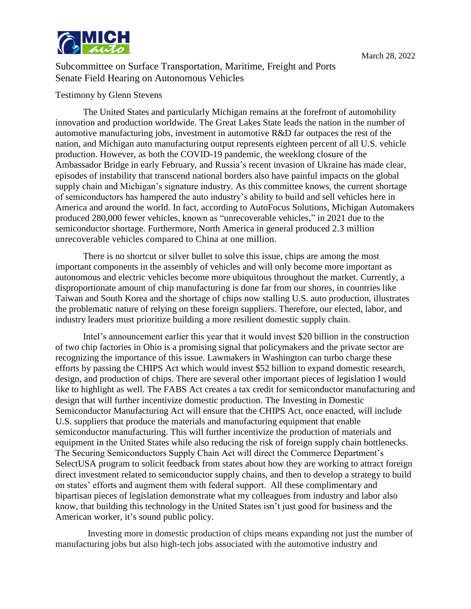

Subcommittee on Surface Transportation, Maritime, Freight and Ports Senate Field Hearing on Autonomous Vehicles

## Testimony by Glenn Stevens

The United States and particularly Michigan remains at the forefront of automobility innovation and production worldwide. The Great Lakes State leads the nation in the number of automotive manufacturing jobs, investment in automotive R&D far outpaces the rest of the nation, and Michigan auto manufacturing output represents eighteen percent of all U.S. vehicle production. However, as both the COVID-19 pandemic, the weeklong closure of the Ambassador Bridge in early February, and Russia's recent invasion of Ukraine has made clear, episodes of instability that transcend national borders also have painful impacts on the global supply chain and Michigan's signature industry. As this committee knows, the current shortage of semiconductors has hampered the auto industry's ability to build and sell vehicles here in America and around the world. In fact, according to AutoFocus Solutions, Michigan Automakers produced 280,000 fewer vehicles, known as "unrecoverable vehicles," in 2021 due to the semiconductor shortage. Furthermore, North America in general produced 2.3 million unrecoverable vehicles compared to China at one million.

There is no shortcut or silver bullet to solve this issue, chips are among the most important components in the assembly of vehicles and will only become more important as autonomous and electric vehicles become more ubiquitous throughout the market. Currently, a disproportionate amount of chip manufacturing is done far from our shores, in countries like Taiwan and South Korea and the shortage of chips now stalling U.S. auto production, illustrates the problematic nature of relying on these foreign suppliers. Therefore, our elected, labor, and industry leaders must prioritize building a more resilient domestic supply chain.

Intel's announcement earlier this year that it would invest \$20 billion in the construction of two chip factories in Ohio is a promising signal that policymakers and the private sector are recognizing the importance of this issue. Lawmakers in Washington can turbo charge these efforts by passing the CHIPS Act which would invest \$52 billion to expand domestic research, design, and production of chips. There are several other important pieces of legislation I would like to highlight as well. The FABS Act creates a tax credit for semiconductor manufacturing and design that will further incentivize domestic production. The Investing in Domestic Semiconductor Manufacturing Act will ensure that the CHIPS Act, once enacted, will include U.S. suppliers that produce the materials and manufacturing equipment that enable semiconductor manufacturing. This will further incentivize the production of materials and equipment in the United States while also reducing the risk of foreign supply chain bottlenecks. The Securing Semiconductors Supply Chain Act will direct the Commerce Department's SelectUSA program to solicit feedback from states about how they are working to attract foreign direct investment related to semiconductor supply chains, and then to develop a strategy to build on states' efforts and augment them with federal support. All these complimentary and bipartisan pieces of legislation demonstrate what my colleagues from industry and labor also know, that building this technology in the United States isn't just good for business and the American worker, it's sound public policy.

Investing more in domestic production of chips means expanding not just the number of manufacturing jobs but also high-tech jobs associated with the automotive industry and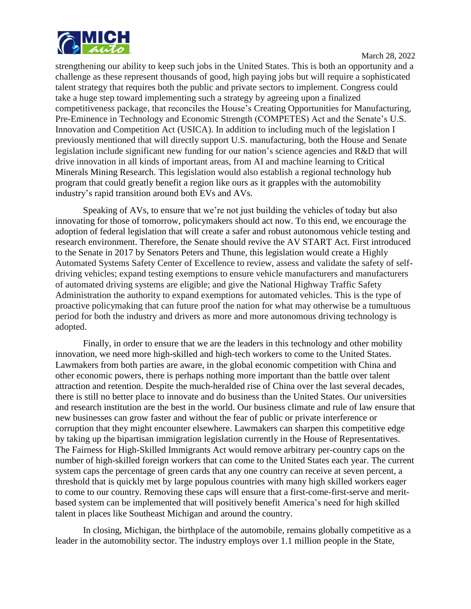

strengthening our ability to keep such jobs in the United States. This is both an opportunity and a challenge as these represent thousands of good, high paying jobs but will require a sophisticated talent strategy that requires both the public and private sectors to implement. Congress could take a huge step toward implementing such a strategy by agreeing upon a finalized competitiveness package, that reconciles the House's Creating Opportunities for Manufacturing, Pre-Eminence in Technology and Economic Strength (COMPETES) Act and the Senate's U.S. Innovation and Competition Act (USICA). In addition to including much of the legislation I previously mentioned that will directly support U.S. manufacturing, both the House and Senate legislation include significant new funding for our nation's science agencies and R&D that will drive innovation in all kinds of important areas, from AI and machine learning to Critical Minerals Mining Research. This legislation would also establish a regional technology hub program that could greatly benefit a region like ours as it grapples with the automobility industry's rapid transition around both EVs and AVs.

Speaking of AVs, to ensure that we're not just building the vehicles of today but also innovating for those of tomorrow, policymakers should act now. To this end, we encourage the adoption of federal legislation that will create a safer and robust autonomous vehicle testing and research environment. Therefore, the Senate should revive the AV START Act. First introduced to the Senate in 2017 by Senators Peters and Thune, this legislation would create a Highly Automated Systems Safety Center of Excellence to review, assess and validate the safety of selfdriving vehicles; expand testing exemptions to ensure vehicle manufacturers and manufacturers of automated driving systems are eligible; and give the National Highway Traffic Safety Administration the authority to expand exemptions for automated vehicles. This is the type of proactive policymaking that can future proof the nation for what may otherwise be a tumultuous period for both the industry and drivers as more and more autonomous driving technology is adopted.

Finally, in order to ensure that we are the leaders in this technology and other mobility innovation, we need more high-skilled and high-tech workers to come to the United States. Lawmakers from both parties are aware, in the global economic competition with China and other economic powers, there is perhaps nothing more important than the battle over talent attraction and retention. Despite the much-heralded rise of China over the last several decades, there is still no better place to innovate and do business than the United States. Our universities and research institution are the best in the world. Our business climate and rule of law ensure that new businesses can grow faster and without the fear of public or private interference or corruption that they might encounter elsewhere. Lawmakers can sharpen this competitive edge by taking up the bipartisan immigration legislation currently in the House of Representatives. The Fairness for High-Skilled Immigrants Act would remove arbitrary per-country caps on the number of high-skilled foreign workers that can come to the United States each year. The current system caps the percentage of green cards that any one country can receive at seven percent, a threshold that is quickly met by large populous countries with many high skilled workers eager to come to our country. Removing these caps will ensure that a first-come-first-serve and meritbased system can be implemented that will positively benefit America's need for high skilled talent in places like Southeast Michigan and around the country.

In closing, Michigan, the birthplace of the automobile, remains globally competitive as a leader in the automobility sector. The industry employs over 1.1 million people in the State,